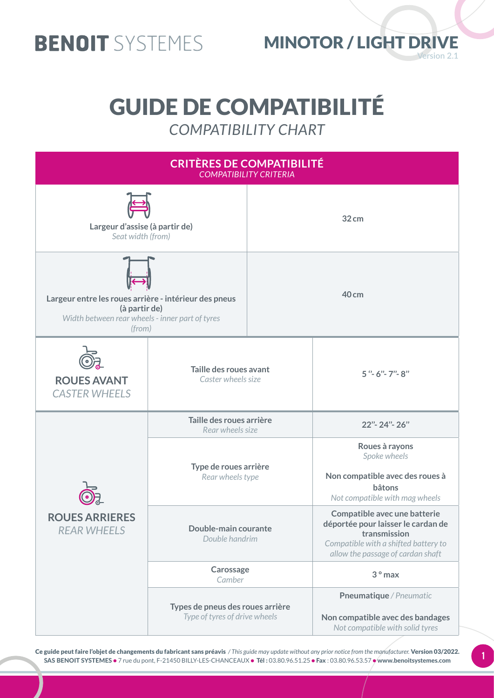

#### **Version 2.1**  MINOTOR / LIGHT DRIVE

### GUIDE DE COMPATIBILITÉ *COMPATIBILITY CHART*

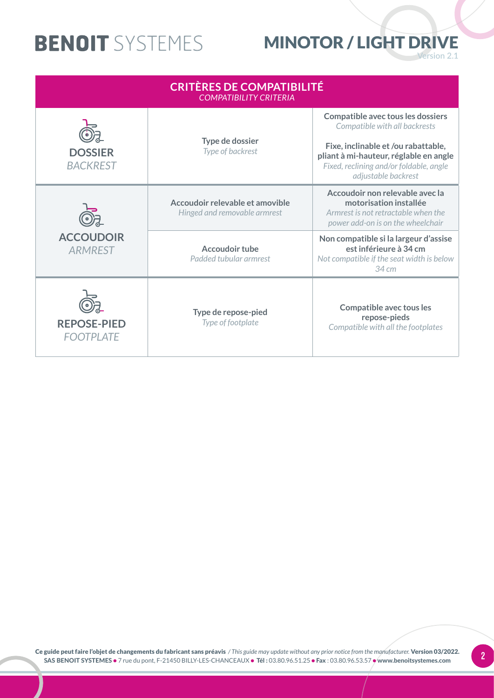#### **Version 2.1**  MINOTOR / LIGHT DRIVE

| <b>CRITÈRES DE COMPATIBILITÉ</b><br><b>COMPATIBILITY CRITERIA</b> |                                                                 |                                                                                                                                                                                                                              |
|-------------------------------------------------------------------|-----------------------------------------------------------------|------------------------------------------------------------------------------------------------------------------------------------------------------------------------------------------------------------------------------|
| <b>DOSSIER</b><br><b>BACKREST</b>                                 | Type de dossier<br>Type of backrest                             | <b>Compatible avec tous les dossiers</b><br>Compatible with all backrests<br>Fixe, inclinable et /ou rabattable,<br>pliant à mi-hauteur, réglable en angle<br>Fixed, reclining and/or foldable, angle<br>adjustable backrest |
| <b>ACCOUDOIR</b><br><b>ARMREST</b>                                | Accoudoir relevable et amovible<br>Hinged and removable armrest | Accoudoir non relevable avec la<br>motorisation installée<br>Armrest is not retractable when the<br>power add-on is on the wheelchair                                                                                        |
|                                                                   | <b>Accoudoir tube</b><br>Padded tubular armrest                 | Non compatible si la largeur d'assise<br>est inférieure à 34 cm<br>Not compatible if the seat width is below<br>34 cm                                                                                                        |
| <b>REPOSE-PIED</b><br><b>FOOTPLATE</b>                            | Type de repose-pied<br>Type of footplate                        | <b>Compatible avec tous les</b><br>repose-pieds<br>Compatible with all the footplates                                                                                                                                        |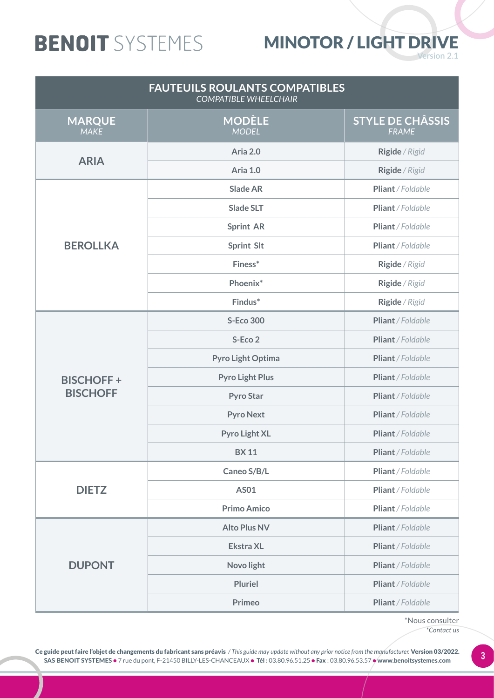#### MINOTOR / LIGHT DRIVE

**Version 2.1** 

| <b>FAUTEUILS ROULANTS COMPATIBLES</b><br><b>COMPATIBLE WHEELCHAIR</b> |                               |                                         |
|-----------------------------------------------------------------------|-------------------------------|-----------------------------------------|
| <b>MARQUE</b><br><b>MAKE</b>                                          | <b>MODÈLE</b><br><b>MODEL</b> | <b>STYLE DE CHÂSSIS</b><br><b>FRAME</b> |
| <b>ARIA</b>                                                           | Aria 2.0                      | Rigide / Rigid                          |
|                                                                       | Aria 1.0                      | Rigide / Rigid                          |
|                                                                       | <b>Slade AR</b>               | Pliant / Foldable                       |
|                                                                       | <b>Slade SLT</b>              | Pliant / Foldable                       |
|                                                                       | <b>Sprint AR</b>              | Pliant / Foldable                       |
| <b>BEROLLKA</b>                                                       | <b>Sprint Slt</b>             | Pliant / Foldable                       |
|                                                                       | Finess*                       | Rigide / Rigid                          |
|                                                                       | Phoenix*                      | Rigide / Rigid                          |
|                                                                       | Findus*                       | Rigide / Rigid                          |
|                                                                       | <b>S-Eco 300</b>              | Pliant / Foldable                       |
|                                                                       | S-Eco 2                       | Pliant / Foldable                       |
|                                                                       | Pyro Light Optima             | Pliant / Foldable                       |
| <b>BISCHOFF+</b>                                                      | <b>Pyro Light Plus</b>        | Pliant / Foldable                       |
| <b>BISCHOFF</b>                                                       | <b>Pyro Star</b>              | Pliant / Foldable                       |
|                                                                       | <b>Pyro Next</b>              | Pliant / Foldable                       |
|                                                                       | <b>Pyro Light XL</b>          | Pliant / Foldable                       |
|                                                                       | <b>BX11</b>                   | Pliant / Foldable                       |
|                                                                       | Caneo S/B/L                   | Pliant / Foldable                       |
| <b>DIETZ</b>                                                          | <b>AS01</b>                   | Pliant / Foldable                       |
|                                                                       | <b>Primo Amico</b>            | Pliant / Foldable                       |
|                                                                       | <b>Alto Plus NV</b>           | Pliant / Foldable                       |
|                                                                       | <b>Ekstra XL</b>              | Pliant / Foldable                       |
| <b>DUPONT</b>                                                         | Novo light                    | Pliant / Foldable                       |
|                                                                       | <b>Pluriel</b>                | Pliant / Foldable                       |
|                                                                       | <b>Primeo</b>                 | Pliant / Foldable                       |

\*Nous consulter *\*Contact us*

Ce guide peut faire l'objet de changements du fabricant sans préavis / This guide may update without any prior notice from the manufacturer. Version 03/2022.<br>SAS BENOIT SYSTEMES @ 7 rue du pont E-21450 BU IV-LES-CHANCEAUX SAS BENOIT SYSTEMES • 7 rue du pont, F-21450 BILLY-LES-CHANCEAUX • Tél : 03.80.96.51.25 • Fax : 03.80.96.53.57 • www.benoitsystemes.com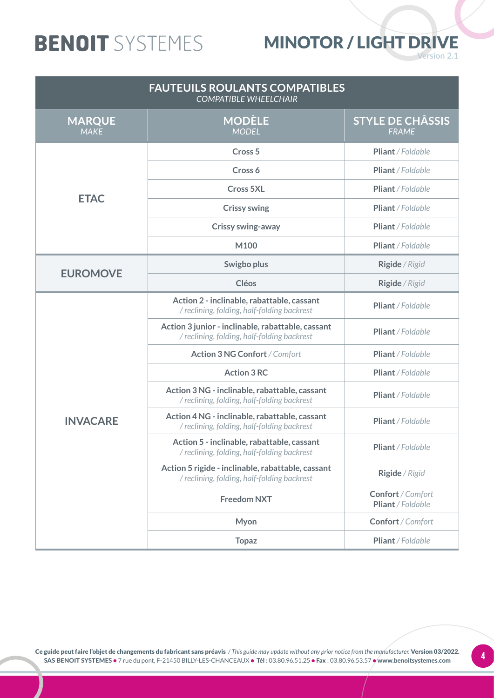#### MINOTOR / LIGHT DRIVE

**Version 2.1** 

| <b>FAUTEUILS ROULANTS COMPATIBLES</b><br><b>COMPATIBLE WHEELCHAIR</b> |                                                                                                  |                                         |
|-----------------------------------------------------------------------|--------------------------------------------------------------------------------------------------|-----------------------------------------|
| <b>MARQUE</b><br><b>MAKE</b>                                          | <b>MODÈLE</b><br><b>MODEL</b>                                                                    | <b>STYLE DE CHÂSSIS</b><br><b>FRAME</b> |
|                                                                       | Cross <sub>5</sub>                                                                               | Pliant / Foldable                       |
|                                                                       | Cross 6                                                                                          | Pliant / Foldable                       |
|                                                                       | <b>Cross 5XL</b>                                                                                 | Pliant / Foldable                       |
| <b>ETAC</b>                                                           | <b>Crissy swing</b>                                                                              | Pliant / Foldable                       |
|                                                                       | <b>Crissy swing-away</b>                                                                         | Pliant / Foldable                       |
|                                                                       | M100                                                                                             | Pliant / Foldable                       |
| <b>EUROMOVE</b>                                                       | Swigbo plus                                                                                      | Rigide / Rigid                          |
|                                                                       | <b>Cléos</b>                                                                                     | Rigide / Rigid                          |
|                                                                       | Action 2 - inclinable, rabattable, cassant<br>/ reclining, folding, half-folding backrest        | Pliant / Foldable                       |
|                                                                       | Action 3 junior - inclinable, rabattable, cassant<br>/ reclining, folding, half-folding backrest | Pliant / Foldable                       |
|                                                                       | <b>Action 3 NG Confort / Comfort</b>                                                             | Pliant / Foldable                       |
|                                                                       | <b>Action 3 RC</b>                                                                               | Pliant / Foldable                       |
|                                                                       | Action 3 NG - inclinable, rabattable, cassant<br>/ reclining, folding, half-folding backrest     | Pliant / Foldable                       |
| <b>INVACARE</b>                                                       | Action 4 NG - inclinable, rabattable, cassant<br>/ reclining, folding, half-folding backrest     | Pliant / Foldable                       |
|                                                                       | Action 5 - inclinable, rabattable, cassant<br>/ reclining, folding, half-folding backrest        | Pliant / Foldable                       |
|                                                                       | Action 5 rigide - inclinable, rabattable, cassant<br>/ reclining, folding, half-folding backrest | Rigide / Rigid                          |
|                                                                       | <b>Freedom NXT</b>                                                                               | Confort / Comfort<br>Pliant / Foldable  |
|                                                                       | Myon                                                                                             | Confort / Comfort                       |
|                                                                       | <b>Topaz</b>                                                                                     | Pliant / Foldable                       |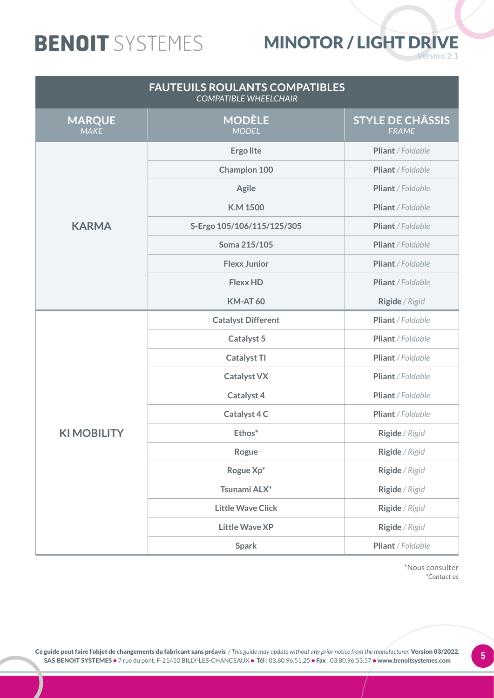### MINOTOR / LIGHT DRIVE

**Version 2.1** 

| <b>FAUTEUILS ROULANTS COMPATIBLES</b><br><b>COMPATIBLE WHEELCHAIR</b> |                               |                                         |
|-----------------------------------------------------------------------|-------------------------------|-----------------------------------------|
| <b>MARQUE</b><br><b>MAKE</b>                                          | <b>MODÈLE</b><br><b>MODEL</b> | <b>STYLE DE CHÂSSIS</b><br><b>FRAME</b> |
|                                                                       | <b>Ergo lite</b>              | Pliant / Foldable                       |
|                                                                       | <b>Champion 100</b>           | Pliant / Foldable                       |
|                                                                       | <b>Agile</b>                  | Pliant / Foldable                       |
|                                                                       | <b>K.M 1500</b>               | Pliant / Foldable                       |
| <b>KARMA</b>                                                          | S-Ergo 105/106/115/125/305    | Pliant / Foldable                       |
|                                                                       | Soma 215/105                  | Pliant / Foldable                       |
|                                                                       | <b>Flexx Junior</b>           | Pliant / Foldable                       |
|                                                                       | <b>Flexx HD</b>               | Pliant / Foldable                       |
|                                                                       | <b>KM-AT 60</b>               | Rigide / Rigid                          |
|                                                                       | <b>Catalyst Different</b>     | Pliant / Foldable                       |
|                                                                       | <b>Catalyst 5</b>             | Pliant / Foldable                       |
|                                                                       | <b>Catalyst TI</b>            | Pliant / Foldable                       |
|                                                                       | <b>Catalyst VX</b>            | Pliant / Foldable                       |
|                                                                       | <b>Catalyst 4</b>             | Pliant / Foldable                       |
|                                                                       | Catalyst 4 C                  | Pliant / Foldable                       |
| <b>KIMOBILITY</b>                                                     | Ethos*                        | Rigide / Rigid                          |
|                                                                       | Rogue                         | Rigide / Rigid                          |
|                                                                       | Rogue Xp*                     | Rigide / Rigid                          |
|                                                                       | Tsunami ALX*                  | Rigide / Rigid                          |
|                                                                       | <b>Little Wave Click</b>      | Rigide / Rigid                          |
|                                                                       | <b>Little Wave XP</b>         | Rigide / Rigid                          |
|                                                                       | <b>Spark</b>                  | Pliant / Foldable                       |

\*Nous consulter *\*Contact us*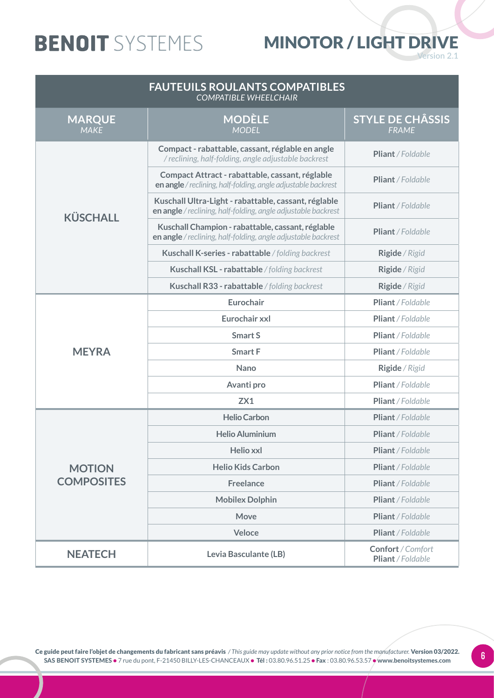### MINOTOR / LIGHT DRIVE

**Version 2.1** 

| <b>FAUTEUILS ROULANTS COMPATIBLES</b><br><b>COMPATIBLE WHEELCHAIR</b> |                                                                                                                       |                                         |
|-----------------------------------------------------------------------|-----------------------------------------------------------------------------------------------------------------------|-----------------------------------------|
| <b>MARQUE</b><br><b>MAKE</b>                                          | <b>MODÈLE</b><br><b>MODEL</b>                                                                                         | <b>STYLE DE CHÂSSIS</b><br><b>FRAME</b> |
|                                                                       | Compact - rabattable, cassant, réglable en angle<br>/ reclining, half-folding, angle adjustable backrest              | Pliant / Foldable                       |
|                                                                       | Compact Attract - rabattable, cassant, réglable<br>en angle / reclining, half-folding, angle adjustable backrest      | Pliant / Foldable                       |
| <b>KÜSCHALL</b>                                                       | Kuschall Ultra-Light - rabattable, cassant, réglable<br>en angle / reclining, half-folding, angle adjustable backrest | Pliant / Foldable                       |
|                                                                       | Kuschall Champion - rabattable, cassant, réglable<br>en angle / reclining, half-folding, angle adjustable backrest    | <b>Pliant</b> / Foldable                |
|                                                                       | Kuschall K-series - rabattable / folding backrest                                                                     | Rigide / Rigid                          |
|                                                                       | Kuschall KSL - rabattable / folding backrest                                                                          | Rigide / Rigid                          |
|                                                                       | Kuschall R33 - rabattable / folding backrest                                                                          | Rigide / Rigid                          |
|                                                                       | Eurochair                                                                                                             | Pliant / Foldable                       |
|                                                                       | Eurochair xxl                                                                                                         | Pliant / Foldable                       |
|                                                                       | <b>Smart S</b>                                                                                                        | Pliant / Foldable                       |
| <b>MEYRA</b>                                                          | <b>Smart F</b>                                                                                                        | Pliant / Foldable                       |
|                                                                       | <b>Nano</b>                                                                                                           | Rigide / Rigid                          |
|                                                                       | Avanti pro                                                                                                            | Pliant / Foldable                       |
|                                                                       | ZX1                                                                                                                   | Pliant / Foldable                       |
|                                                                       | <b>Helio Carbon</b>                                                                                                   | Pliant / Foldable                       |
|                                                                       | <b>Helio Aluminium</b>                                                                                                | Pliant / Foldable                       |
|                                                                       | <b>Helio xxl</b>                                                                                                      | Pliant / Foldable                       |
| <b>MOTION</b>                                                         | <b>Helio Kids Carbon</b>                                                                                              | Pliant / Foldable                       |
| <b>COMPOSITES</b>                                                     | <b>Freelance</b>                                                                                                      | Pliant / Foldable                       |
|                                                                       | <b>Mobilex Dolphin</b>                                                                                                | Pliant / Foldable                       |
|                                                                       | <b>Move</b>                                                                                                           | Pliant / Foldable                       |
|                                                                       | Veloce                                                                                                                | Pliant / Foldable                       |
| <b>NEATECH</b>                                                        | Levia Basculante (LB)                                                                                                 | Confort / Comfort<br>Pliant / Foldable  |

Ce guide peut faire l'objet de changements du fabricant sans préavis / This guide may update without any prior notice from the manufacturer. Version 03/2022.<br>CAS BENIOLE SYSTEMES A 7 min du nort E 21450 BULLY LES CLIANCEAU SAS BENOIT SYSTEMES • 7 rue du pont, F-21450 BILLY-LES-CHANCEAUX • Tél : 03.80.96.51.25 • Fax : 03.80.96.53.57 • www.benoitsystemes.com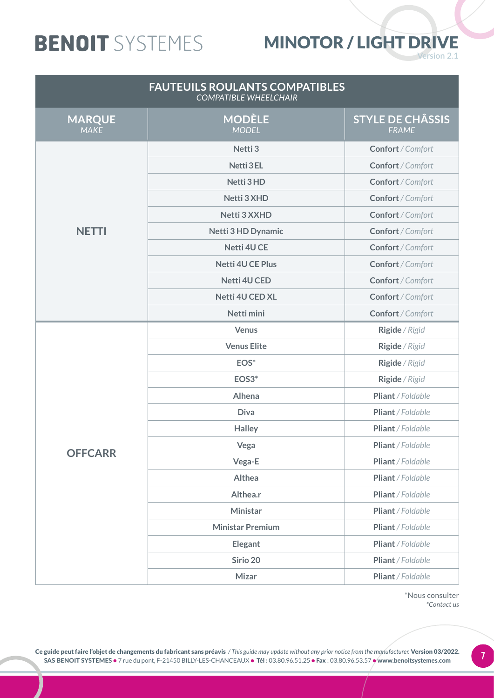#### MINOTOR / LIGHT DRIVE

**Version 2.1** 

| <b>FAUTEUILS ROULANTS COMPATIBLES</b><br><b>COMPATIBLE WHEELCHAIR</b> |                               |                                         |
|-----------------------------------------------------------------------|-------------------------------|-----------------------------------------|
| <b>MARQUE</b><br><b>MAKE</b>                                          | <b>MODÈLE</b><br><b>MODEL</b> | <b>STYLE DE CHÂSSIS</b><br><b>FRAME</b> |
|                                                                       | Netti <sub>3</sub>            | Confort / Comfort                       |
|                                                                       | <b>Netti 3 EL</b>             | Confort / Comfort                       |
|                                                                       | Netti 3 HD                    | Confort / Comfort                       |
|                                                                       | Netti 3 XHD                   | Confort / Comfort                       |
|                                                                       | Netti 3 XXHD                  | Confort / Comfort                       |
| <b>NETTI</b>                                                          | <b>Netti 3 HD Dynamic</b>     | Confort / Comfort                       |
|                                                                       | Netti 4U CE                   | Confort / Comfort                       |
|                                                                       | <b>Netti 4U CE Plus</b>       | Confort / Comfort                       |
|                                                                       | Netti 4U CED                  | Confort / Comfort                       |
|                                                                       | <b>Netti 4U CED XL</b>        | Confort / Comfort                       |
|                                                                       | Netti mini                    | Confort / Comfort                       |
|                                                                       | <b>Venus</b>                  | Rigide / Rigid                          |
|                                                                       | <b>Venus Elite</b>            | Rigide / Rigid                          |
|                                                                       | EOS*                          | Rigide / Rigid                          |
|                                                                       | EOS3*                         | Rigide / Rigid                          |
|                                                                       | Alhena                        | Pliant / Foldable                       |
|                                                                       | <b>Diva</b>                   | Pliant / Foldable                       |
|                                                                       | <b>Halley</b>                 | Pliant / Foldable                       |
| <b>OFFCARR</b>                                                        | Vega                          | Pliant / Foldable                       |
|                                                                       | Vega-E                        | Pliant / Foldable                       |
|                                                                       | Althea                        | Pliant / Foldable                       |
|                                                                       | Althea.r                      | Pliant / Foldable                       |
|                                                                       | Ministar                      | Pliant / Foldable                       |
|                                                                       | <b>Ministar Premium</b>       | Pliant / Foldable                       |
|                                                                       | <b>Elegant</b>                | Pliant / Foldable                       |
|                                                                       | Sirio 20                      | Pliant / Foldable                       |
|                                                                       | <b>Mizar</b>                  | Pliant / Foldable                       |

\*Nous consulter *\*Contact us*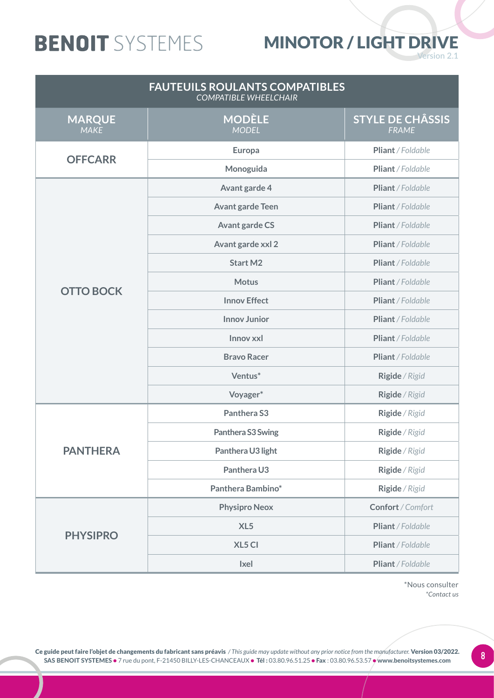#### MINOTOR / LIGHT DRIVE

**Version 2.1** 

| <b>FAUTEUILS ROULANTS COMPATIBLES</b><br><b>COMPATIBLE WHEELCHAIR</b> |                               |                                         |
|-----------------------------------------------------------------------|-------------------------------|-----------------------------------------|
| <b>MARQUE</b><br><b>MAKE</b>                                          | <b>MODÈLE</b><br><b>MODEL</b> | <b>STYLE DE CHÂSSIS</b><br><b>FRAME</b> |
| <b>OFFCARR</b>                                                        | Europa                        | Pliant / Foldable                       |
|                                                                       | Monoguida                     | Pliant / Foldable                       |
|                                                                       | Avant garde 4                 | Pliant / Foldable                       |
|                                                                       | <b>Avant garde Teen</b>       | Pliant / Foldable                       |
|                                                                       | <b>Avant garde CS</b>         | Pliant / Foldable                       |
|                                                                       | Avant garde xxl 2             | Pliant / Foldable                       |
|                                                                       | <b>Start M2</b>               | Pliant / Foldable                       |
|                                                                       | <b>Motus</b>                  | Pliant / Foldable                       |
| <b>OTTO BOCK</b>                                                      | <b>Innov Effect</b>           | Pliant / Foldable                       |
|                                                                       | <b>Innov Junior</b>           | Pliant / Foldable                       |
|                                                                       | Innov xxl                     | Pliant / Foldable                       |
|                                                                       | <b>Bravo Racer</b>            | Pliant / Foldable                       |
|                                                                       | Ventus*                       | Rigide / Rigid                          |
|                                                                       | Voyager*                      | Rigide / Rigid                          |
|                                                                       | Panthera S3                   | Rigide / Rigid                          |
|                                                                       | Panthera S3 Swing             | Rigide / Rigid                          |
| <b>PANTHERA</b>                                                       | Panthera U3 light             | Rigide / Rigid                          |
|                                                                       | Panthera U3                   | Rigide / Rigid                          |
|                                                                       | Panthera Bambino*             | Rigide / Rigid                          |
|                                                                       | <b>Physipro Neox</b>          | Confort / Comfort                       |
|                                                                       | XL <sub>5</sub>               | Pliant / Foldable                       |
| <b>PHYSIPRO</b>                                                       | XL5 CI                        | Pliant / Foldable                       |
|                                                                       | <b>Ixel</b>                   | Pliant / Foldable                       |

\*Nous consulter *\*Contact us*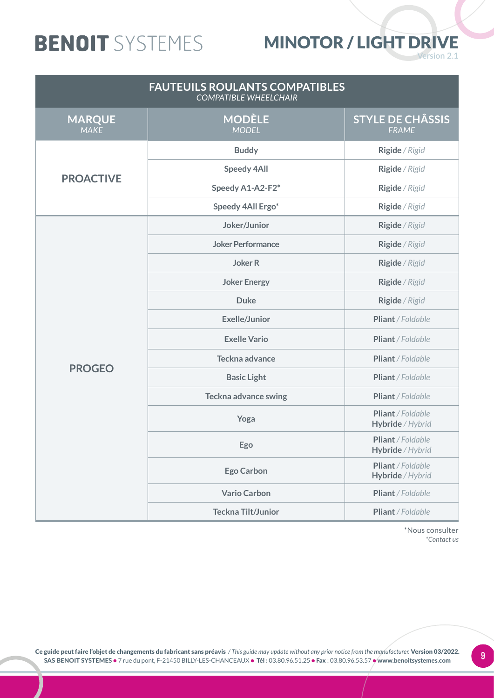#### MINOTOR / LIGHT DRIVE

**Version 2.1** 

| <b>FAUTEUILS ROULANTS COMPATIBLES</b><br><b>COMPATIBLE WHEELCHAIR</b> |                               |                                         |
|-----------------------------------------------------------------------|-------------------------------|-----------------------------------------|
| <b>MARQUE</b><br><b>MAKE</b>                                          | <b>MODÈLE</b><br><b>MODEL</b> | <b>STYLE DE CHÂSSIS</b><br><b>FRAME</b> |
|                                                                       | <b>Buddy</b>                  | Rigide / Rigid                          |
| <b>PROACTIVE</b>                                                      | <b>Speedy 4All</b>            | Rigide / Rigid                          |
|                                                                       | Speedy A1-A2-F2*              | Rigide / Rigid                          |
|                                                                       | Speedy 4All Ergo*             | Rigide / Rigid                          |
|                                                                       | Joker/Junior                  | Rigide / Rigid                          |
|                                                                       | <b>Joker Performance</b>      | Rigide / Rigid                          |
|                                                                       | <b>Joker R</b>                | Rigide / Rigid                          |
|                                                                       | <b>Joker Energy</b>           | Rigide / Rigid                          |
|                                                                       | <b>Duke</b>                   | Rigide / Rigid                          |
|                                                                       | <b>Exelle/Junior</b>          | Pliant / Foldable                       |
|                                                                       | <b>Exelle Vario</b>           | Pliant / Foldable                       |
| <b>PROGEO</b>                                                         | Teckna advance                | Pliant / Foldable                       |
|                                                                       | <b>Basic Light</b>            | Pliant / Foldable                       |
|                                                                       | <b>Teckna advance swing</b>   | Pliant / Foldable                       |
|                                                                       | Yoga                          | Pliant / Foldable<br>Hybride / Hybrid   |
|                                                                       | Ego                           | Pliant / Foldable<br>Hybride / Hybrid   |
|                                                                       | <b>Ego Carbon</b>             | Pliant / Foldable<br>Hybride / Hybrid   |
|                                                                       | <b>Vario Carbon</b>           | Pliant / Foldable                       |
|                                                                       | <b>Teckna Tilt/Junior</b>     | Pliant / Foldable                       |

\*Nous consulter *\*Contact us*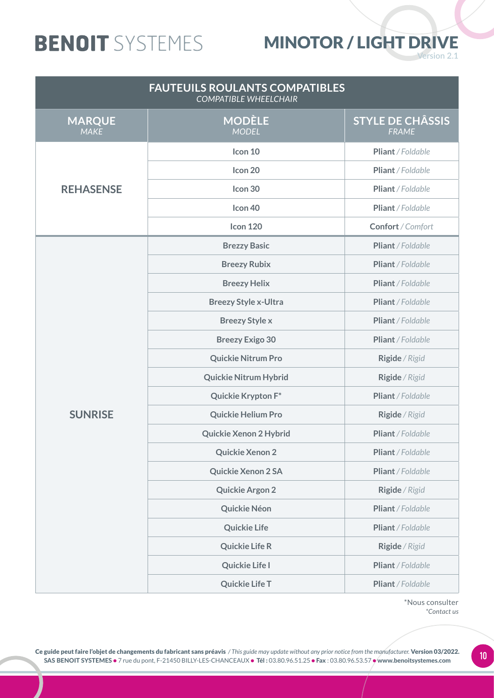#### MINOTOR / LIGHT DRIVE

**Version 2.1** 

| <b>FAUTEUILS ROULANTS COMPATIBLES</b><br><b>COMPATIBLE WHEELCHAIR</b> |                               |                                         |
|-----------------------------------------------------------------------|-------------------------------|-----------------------------------------|
| <b>MARQUE</b><br><b>MAKE</b>                                          | <b>MODÈLE</b><br><b>MODEL</b> | <b>STYLE DE CHÂSSIS</b><br><b>FRAME</b> |
|                                                                       | Icon 10                       | Pliant / Foldable                       |
|                                                                       | Icon 20                       | Pliant / Foldable                       |
| <b>REHASENSE</b>                                                      | Icon 30                       | Pliant / Foldable                       |
|                                                                       | Icon 40                       | Pliant / Foldable                       |
|                                                                       | <b>Icon 120</b>               | Confort / Comfort                       |
|                                                                       | <b>Brezzy Basic</b>           | Pliant / Foldable                       |
|                                                                       | <b>Breezy Rubix</b>           | Pliant / Foldable                       |
|                                                                       | <b>Breezy Helix</b>           | Pliant / Foldable                       |
|                                                                       | <b>Breezy Style x-Ultra</b>   | Pliant / Foldable                       |
|                                                                       | <b>Breezy Style x</b>         | Pliant / Foldable                       |
|                                                                       | <b>Breezy Exigo 30</b>        | Pliant / Foldable                       |
|                                                                       | <b>Quickie Nitrum Pro</b>     | Rigide / Rigid                          |
|                                                                       | <b>Quickie Nitrum Hybrid</b>  | Rigide / Rigid                          |
|                                                                       | Quickie Krypton F*            | Pliant / Foldable                       |
| <b>SUNRISE</b>                                                        | <b>Quickie Helium Pro</b>     | Rigide / Rigid                          |
|                                                                       | <b>Quickie Xenon 2 Hybrid</b> | Pliant / Foldable                       |
|                                                                       | Quickie Xenon 2               | Pliant / Foldable                       |
|                                                                       | Quickie Xenon 2 SA            | Pliant / Foldable                       |
|                                                                       | <b>Quickie Argon 2</b>        | Rigide / Rigid                          |
|                                                                       | Quickie Néon                  | Pliant / Foldable                       |
|                                                                       | <b>Quickie Life</b>           | Pliant / Foldable                       |
|                                                                       | <b>Quickie Life R</b>         | Rigide / Rigid                          |
|                                                                       | <b>Quickie Life I</b>         | Pliant / Foldable                       |
|                                                                       | <b>Quickie Life T</b>         | Pliant / Foldable                       |

\*Nous consulter *\*Contact us*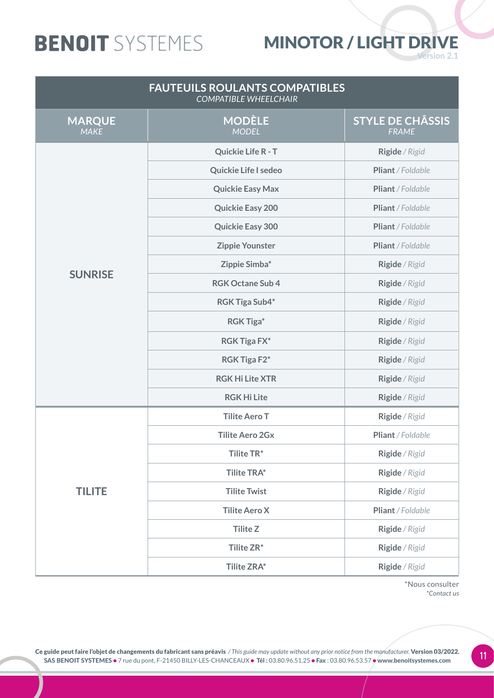#### MINOTOR / LIGHT DRIVE

**Version 2.1** 

| <b>FAUTEUILS ROULANTS COMPATIBLES</b><br><b>COMPATIBLE WHEELCHAIR</b> |                               |                                         |
|-----------------------------------------------------------------------|-------------------------------|-----------------------------------------|
| <b>MARQUE</b><br><b>MAKE</b>                                          | <b>MODÈLE</b><br><b>MODEL</b> | <b>STYLE DE CHÂSSIS</b><br><b>FRAME</b> |
|                                                                       | <b>Quickie Life R - T</b>     | Rigide / Rigid                          |
|                                                                       | <b>Quickie Life I sedeo</b>   | Pliant / Foldable                       |
|                                                                       | <b>Quickie Easy Max</b>       | Pliant / Foldable                       |
|                                                                       | <b>Quickie Easy 200</b>       | Pliant / Foldable                       |
|                                                                       | <b>Quickie Easy 300</b>       | Pliant / Foldable                       |
|                                                                       | <b>Zippie Younster</b>        | Pliant / Foldable                       |
|                                                                       | Zippie Simba*                 | Rigide / Rigid                          |
| <b>SUNRISE</b>                                                        | <b>RGK Octane Sub 4</b>       | Rigide / Rigid                          |
|                                                                       | <b>RGK Tiga Sub4*</b>         | Rigide / Rigid                          |
|                                                                       | <b>RGK Tiga*</b>              | Rigide / Rigid                          |
|                                                                       | <b>RGK Tiga FX*</b>           | Rigide / Rigid                          |
|                                                                       | RGK Tiga F2*                  | Rigide / Rigid                          |
|                                                                       | <b>RGK Hi Lite XTR</b>        | Rigide / Rigid                          |
|                                                                       | <b>RGK Hi Lite</b>            | Rigide / Rigid                          |
|                                                                       | <b>Tilite Aero T</b>          | Rigide / Rigid                          |
|                                                                       | <b>Tilite Aero 2Gx</b>        | Pliant / Foldable                       |
|                                                                       | Tilite TR*                    | Rigide / Rigid                          |
|                                                                       | <b>Tilite TRA*</b>            | Rigide / Rigid                          |
| <b>TILITE</b>                                                         | <b>Tilite Twist</b>           | Rigide / Rigid                          |
|                                                                       | <b>Tilite Aero X</b>          | Pliant / Foldable                       |
|                                                                       | <b>Tilite Z</b>               | Rigide / Rigid                          |
|                                                                       | Tilite ZR*                    | Rigide / Rigid                          |
|                                                                       | <b>Tilite ZRA*</b>            | Rigide / Rigid                          |

\*Nous consulter *\*Contact us*

Ce guide peut faire l'objet de changements du fabricant sans préavis / This guide may update without any prior notice from the manufacturer. Version 03/2022.<br>SAS BENOIT SYSTEMES e 7 rue du pont E-21450 BU IV-LES-CHANCEAUX SAS BENOIT SYSTEMES • 7 rue du pont, F-21450 BILLY-LES-CHANCEAUX • Tél : 03.80.96.51.25 • Fax : 03.80.96.53.57 • www.benoitsystemes.com